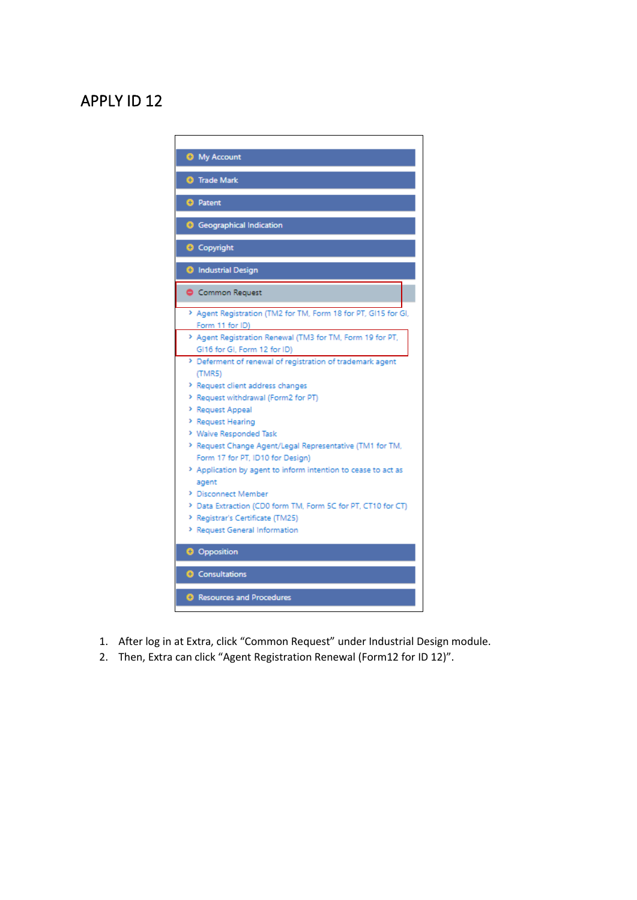## APPLY ID 12

| <b>O</b> My Account                                            |
|----------------------------------------------------------------|
| <b>O</b> Trade Mark                                            |
|                                                                |
| <b>O</b> Patent                                                |
| <b>Geographical Indication</b>                                 |
| <b>O</b> Copyright                                             |
| <b>O</b> Industrial Design                                     |
| Common Request                                                 |
| > Agent Registration (TM2 for TM, Form 18 for PT, GI15 for GI, |
| Form 11 for ID)                                                |
| > Agent Registration Renewal (TM3 for TM, Form 19 for PT,      |
| GI16 for GI, Form 12 for ID)                                   |
| > Deferment of renewal of registration of trademark agent      |
| (TMRS)                                                         |
| > Request client address changes                               |
| > Request withdrawal (Form2 for PT)                            |
| > Request Appeal                                               |
| > Request Hearing                                              |
| > Waive Responded Task                                         |
| > Request Change Agent/Legal Representative (TM1 for TM,       |
| Form 17 for PT, ID10 for Design)                               |
| > Application by agent to inform intention to cease to act as  |
| agent                                                          |
| > Disconnect Member                                            |
| > Data Extraction (CD0 form TM, Form 5C for PT, CT10 for CT)   |
| > Registrar's Certificate (TM25)                               |
| > Request General Information                                  |
| <b>O</b> Opposition                                            |
| <b>O</b> Consultations                                         |
| <b>B</b> Resources and Procedures                              |
|                                                                |

- 1. After log in at Extra, click "Common Request" under Industrial Design module.
- 2. Then, Extra can click "Agent Registration Renewal (Form12 for ID 12)".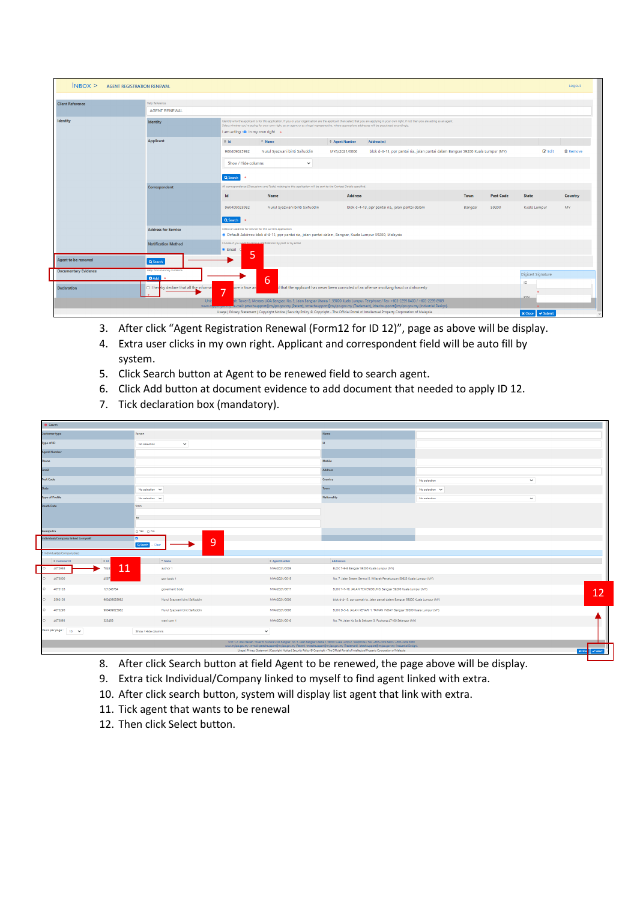| $N$ BOX $>$<br><b>AGENT REGISTRATION RENEWAL</b> |                                               |                                                                                                                                                                                                                                                                                                                                                                                                |                                                                 |                       |                                                                                                                                                                                                                                                                           |         |                  |                            | Logout          |
|--------------------------------------------------|-----------------------------------------------|------------------------------------------------------------------------------------------------------------------------------------------------------------------------------------------------------------------------------------------------------------------------------------------------------------------------------------------------------------------------------------------------|-----------------------------------------------------------------|-----------------------|---------------------------------------------------------------------------------------------------------------------------------------------------------------------------------------------------------------------------------------------------------------------------|---------|------------------|----------------------------|-----------------|
| Help Reference<br><b>Client Reference</b>        |                                               |                                                                                                                                                                                                                                                                                                                                                                                                |                                                                 |                       |                                                                                                                                                                                                                                                                           |         |                  |                            |                 |
|                                                  |                                               | <b>AGENT RENEWAL</b>                                                                                                                                                                                                                                                                                                                                                                           |                                                                 |                       |                                                                                                                                                                                                                                                                           |         |                  |                            |                 |
| Identity                                         | Identity                                      | Identify who the applicant is for this application. If you or your organisation are the applicant then select that you are applying in your own right, if not then you are acting as an agent.<br>Select whether you're acting for your own right, as an agent or as a legal representative, where appropriate addresses will be populated accordingly.<br>I am acting : @ In my own right . o |                                                                 |                       |                                                                                                                                                                                                                                                                           |         |                  |                            |                 |
|                                                  | <b>Applicant</b>                              | $\Leftrightarrow$ 1d                                                                                                                                                                                                                                                                                                                                                                           | $A$ Name                                                        | <b>↓ Agent Number</b> | Address(es)                                                                                                                                                                                                                                                               |         |                  |                            |                 |
|                                                  |                                               | 960409025982                                                                                                                                                                                                                                                                                                                                                                                   | Nurul Syazwani binti Saifuddin                                  | MYA/2021/0006         | blok d-4-13, ppr pantai ria,, jalan pantai dalam Bangsar 59200 Kuala Lumpur (MY)                                                                                                                                                                                          |         |                  | <b>E</b> Edit              | <b>自 Remove</b> |
|                                                  |                                               |                                                                                                                                                                                                                                                                                                                                                                                                | Show / Hide columns<br>$\checkmark$                             |                       |                                                                                                                                                                                                                                                                           |         |                  |                            |                 |
|                                                  |                                               | Q Search                                                                                                                                                                                                                                                                                                                                                                                       |                                                                 |                       |                                                                                                                                                                                                                                                                           |         |                  |                            |                 |
|                                                  | Correspondent                                 | All correspondence (Discussions and Tasks) relating to this application will be sent to the Contact Details specified.                                                                                                                                                                                                                                                                         |                                                                 |                       |                                                                                                                                                                                                                                                                           |         |                  |                            |                 |
|                                                  |                                               | d                                                                                                                                                                                                                                                                                                                                                                                              | Name                                                            | <b>Address</b>        |                                                                                                                                                                                                                                                                           | Town    | <b>Post Code</b> | <b>State</b>               | Country         |
|                                                  |                                               | 960409025982                                                                                                                                                                                                                                                                                                                                                                                   | Nurul Syazwani binti Saifuddin                                  |                       | blok d-4-13, ppr pantai ria,, jalan pantai dalam                                                                                                                                                                                                                          | Bangsar | 59200            | Kuala Lumpur               | <b>MY</b>       |
|                                                  |                                               | Q Search o                                                                                                                                                                                                                                                                                                                                                                                     |                                                                 |                       |                                                                                                                                                                                                                                                                           |         |                  |                            |                 |
|                                                  | <b>Address for Service</b>                    | Select an address for service for the current application<br>· Default Address: blok d-4-13, ppr pantai ria, jalan pantai dalam, Bangsar, Kuala Lumpur 59200, Malaysia                                                                                                                                                                                                                         |                                                                 |                       |                                                                                                                                                                                                                                                                           |         |                  |                            |                 |
|                                                  | <b>Notification Method</b>                    | <b>O</b> Email                                                                                                                                                                                                                                                                                                                                                                                 | Choose if you want to receive notifications by post or by email |                       |                                                                                                                                                                                                                                                                           |         |                  |                            |                 |
| Agent to be renewed                              | Q Search                                      | 5                                                                                                                                                                                                                                                                                                                                                                                              |                                                                 |                       |                                                                                                                                                                                                                                                                           |         |                  |                            |                 |
| <b>Documentary Evidence</b>                      | lelp Documentary Evidence<br><b>O</b> Add     |                                                                                                                                                                                                                                                                                                                                                                                                | 6                                                               |                       |                                                                                                                                                                                                                                                                           |         |                  | Digicert Signature<br>ID   |                 |
| <b>Declaration</b>                               | $\Box$ I hereby declare that all the informal | that the applicant has never been convicted of an offence involving fraud or dishonesty<br>ove is true an<br>7                                                                                                                                                                                                                                                                                 |                                                                 |                       |                                                                                                                                                                                                                                                                           |         | PIN              |                            |                 |
|                                                  | Unit<br>www.n                                 |                                                                                                                                                                                                                                                                                                                                                                                                |                                                                 |                       | ih, Tower B, Menara UOA Bangsar, No. 5, Jalan Bangsar Utama 1, 59000 Kuala Lumpur. Telephone / Fax: +603-2299 8400 / +603-2299 8989<br>mail: pttechsupport@myipo.gov.my (Patent), tmtechsupport@myipo.gov.my (Trademark), idtechsupport@myipo.gov.my (Industrial Design). |         |                  |                            |                 |
|                                                  |                                               |                                                                                                                                                                                                                                                                                                                                                                                                |                                                                 |                       | Usage   Privacy Statement   Copyright Notice   Security Policy © Copyright - The Official Portal of Intellectual Property Corporation of Malaysia                                                                                                                         |         |                  | ■ Submit<br><b>x</b> Close |                 |

- 3. After click "Agent Registration Renewal (Form12 for ID 12)", page as above will be display.
- 4. Extra user clicks in my own right. Applicant and correspondent field will be auto fill by system.
- 5. Click Search button at Agent to be renewed field to search agent.
- 6. Click Add button at document evidence to add document that needed to apply ID 12.
- 7. Tick declaration box (mandatory).

| <b>O</b> Search                                                                                                                                                                                                                                                                                                                                                                                                                                                                                          |                                |                       |                                                                                 |                |              |  |  |
|----------------------------------------------------------------------------------------------------------------------------------------------------------------------------------------------------------------------------------------------------------------------------------------------------------------------------------------------------------------------------------------------------------------------------------------------------------------------------------------------------------|--------------------------------|-----------------------|---------------------------------------------------------------------------------|----------------|--------------|--|--|
| <b>Customer type</b>                                                                                                                                                                                                                                                                                                                                                                                                                                                                                     | Person                         |                       | Name                                                                            |                |              |  |  |
| Type of ID                                                                                                                                                                                                                                                                                                                                                                                                                                                                                               | $\checkmark$<br>No selection   |                       | м                                                                               |                |              |  |  |
| <b>Agent Number</b>                                                                                                                                                                                                                                                                                                                                                                                                                                                                                      |                                |                       |                                                                                 |                |              |  |  |
| Phone                                                                                                                                                                                                                                                                                                                                                                                                                                                                                                    |                                |                       | Mobile                                                                          |                |              |  |  |
| Email                                                                                                                                                                                                                                                                                                                                                                                                                                                                                                    |                                |                       | <b>Address</b>                                                                  |                |              |  |  |
| <b>Post Code</b>                                                                                                                                                                                                                                                                                                                                                                                                                                                                                         |                                |                       | Country                                                                         | No selection   | $\checkmark$ |  |  |
| <b>State</b>                                                                                                                                                                                                                                                                                                                                                                                                                                                                                             | No selection $\vee$            |                       | Town                                                                            | No selection v |              |  |  |
| <b>Type of Profile</b>                                                                                                                                                                                                                                                                                                                                                                                                                                                                                   | No selection v                 |                       | Nationality                                                                     | No selection   | $\checkmark$ |  |  |
| <b>Death Date</b>                                                                                                                                                                                                                                                                                                                                                                                                                                                                                        | from                           |                       |                                                                                 |                |              |  |  |
|                                                                                                                                                                                                                                                                                                                                                                                                                                                                                                          | to                             |                       |                                                                                 |                |              |  |  |
|                                                                                                                                                                                                                                                                                                                                                                                                                                                                                                          |                                |                       |                                                                                 |                |              |  |  |
| Bumiputra                                                                                                                                                                                                                                                                                                                                                                                                                                                                                                | O Yes O No                     |                       |                                                                                 |                |              |  |  |
| Individual/Company linked to myself                                                                                                                                                                                                                                                                                                                                                                                                                                                                      | ø.<br>9                        |                       |                                                                                 |                |              |  |  |
| 6 Individual(s)/Company(ies)                                                                                                                                                                                                                                                                                                                                                                                                                                                                             | Q Search<br>- Clear            |                       |                                                                                 |                |              |  |  |
| Customer ID<br>$0$ Id                                                                                                                                                                                                                                                                                                                                                                                                                                                                                    | $A$ Name                       | <b>0 Agent Number</b> | Address(es)                                                                     |                |              |  |  |
| 11<br>7845<br>4072958                                                                                                                                                                                                                                                                                                                                                                                                                                                                                    | author 1                       | MYA/2021/0009         | BLOK 7-9-8 Bangsar 59200 Kuala Lumpur (MY)                                      |                |              |  |  |
| 4073000<br>4567                                                                                                                                                                                                                                                                                                                                                                                                                                                                                          | gov body 1                     | MYA/2021/0015         | No. 7, Jalan Stesen Sentral 5, Wilayah Persekutuan 50623 Kuala Lumpur (MY)      |                |              |  |  |
| 121245784<br>$\circ$<br>4073128                                                                                                                                                                                                                                                                                                                                                                                                                                                                          | government body                | MYA/2021/0017         | BLOK Y-7-18, JALAN TEMENGGUNG, Bangsar 59200 Kuala Lumpur (MY)                  |                |              |  |  |
| $0$ 2592103<br>960409025982                                                                                                                                                                                                                                                                                                                                                                                                                                                                              | Nurul Syazwani binti Saifuddin | MYA/2021/0006         | blok d-4-13, ppr pantai ria, jalan pantai dalam Bangsar 59200 Kuala Lumpur (MY) |                | 12           |  |  |
| 960409025982<br>$\circ$<br>4073290                                                                                                                                                                                                                                                                                                                                                                                                                                                                       | Nurul Syazwani binti Saifuddin | MYA/2021/0006         | BLOK D-5-6, JALAN KENARI 1, TAMAN INDAH Bangsar 59200 Kuala Lumpur (MY)         |                |              |  |  |
| 323456<br>4073093<br>$\circ$                                                                                                                                                                                                                                                                                                                                                                                                                                                                             | wani com 1                     | MYA/2021/0016         | No. 7A, Jalan Ks 3a & Seksyen 3, Puchong 47100 Selangor (MY)                    |                |              |  |  |
| Items per page : 40 V                                                                                                                                                                                                                                                                                                                                                                                                                                                                                    | Show / Hide columns            | $\checkmark$          |                                                                                 |                |              |  |  |
| Unit 1-7, Aras Bawah, Tower B, Menara UOA Bangsar, No. 5, Jalan Bangsar Utama 1, 59000 Kuala Lumpur, Telephone / Fax: +603-2299 8400 / +603-2299 8989<br>www.myipo.gov.my . e-mail: pttechsupport@myipo.gov.my (Patent), tmtechsupport@myipo.gov.my (Trademark), idtechsupport@myipo.gov.my (Industrial Design).<br>Usage   Privacy Statement   Copyright Notice   Security Policy ® Copyright - The Official Portal of Intellectual Property Corporation of Malaysia<br>$\sqrt{\frac{1}{2}}$<br>x Close |                                |                       |                                                                                 |                |              |  |  |

- 8. After click Search button at field Agent to be renewed, the page above will be display.
- 9. Extra tick Individual/Company linked to myself to find agent linked with extra.
- 10. After click search button, system will display list agent that link with extra.
- 11. Tick agent that wants to be renewal
- 12. Then click Select button.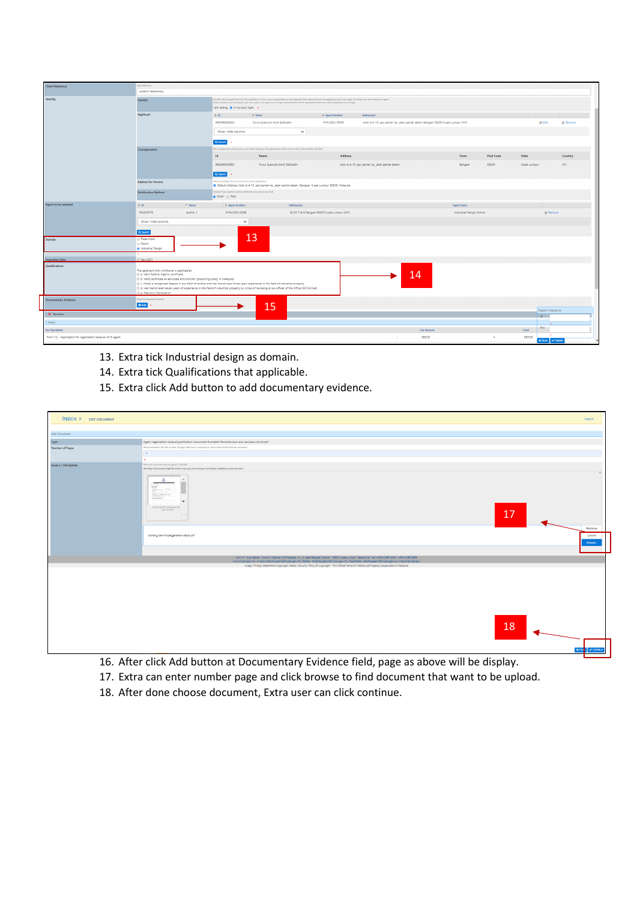| <b>Client Reference</b>                                    | Jelp Reference                                                                           |          |                                                                                                                                                                                                                                                                                                                                                                                                |                                                                                                                                                                                                                                                                                               |                                            |                                                                                 |                           |                  |                            |                 |  |
|------------------------------------------------------------|------------------------------------------------------------------------------------------|----------|------------------------------------------------------------------------------------------------------------------------------------------------------------------------------------------------------------------------------------------------------------------------------------------------------------------------------------------------------------------------------------------------|-----------------------------------------------------------------------------------------------------------------------------------------------------------------------------------------------------------------------------------------------------------------------------------------------|--------------------------------------------|---------------------------------------------------------------------------------|---------------------------|------------------|----------------------------|-----------------|--|
|                                                            | <b>AGENT RENEWAL</b>                                                                     |          |                                                                                                                                                                                                                                                                                                                                                                                                |                                                                                                                                                                                                                                                                                               |                                            |                                                                                 |                           |                  |                            |                 |  |
| <b>Identity</b>                                            | <b>Identity</b>                                                                          |          | identify who the applicant is for this application. If you or your organisation are the applicant then select that you are applying in your own right, if not then you are acting as an agent.<br>Select whether you're acting for your own right, as an agent or as a legal representative, where appropriate addresses will be populated accordingly.<br>I am acting : @ In my own right = + |                                                                                                                                                                                                                                                                                               |                                            |                                                                                 |                           |                  |                            |                 |  |
|                                                            | Applicant                                                                                |          | $0$ Id<br>0 Name<br>0 Agent Number<br>Address(es)                                                                                                                                                                                                                                                                                                                                              |                                                                                                                                                                                                                                                                                               |                                            |                                                                                 |                           |                  |                            |                 |  |
|                                                            |                                                                                          |          | 960409025982                                                                                                                                                                                                                                                                                                                                                                                   | Nurul Syazwani binti Saifuddin                                                                                                                                                                                                                                                                | MYA/2021/0006                              | blok d-4-13, ppr pantai ris, jalan pantai dalam Bangsar 59200 Kuala Lumpur (MY) |                           |                  | <b>Ce</b> Edit             | <b>R</b> Remove |  |
|                                                            |                                                                                          |          | Show / Hide columns                                                                                                                                                                                                                                                                                                                                                                            |                                                                                                                                                                                                                                                                                               | $\checkmark$                               |                                                                                 |                           |                  |                            |                 |  |
|                                                            |                                                                                          |          | Q Search                                                                                                                                                                                                                                                                                                                                                                                       |                                                                                                                                                                                                                                                                                               |                                            |                                                                                 |                           |                  |                            |                 |  |
|                                                            | Correspondent                                                                            |          |                                                                                                                                                                                                                                                                                                                                                                                                | All commpandence (Discussions and Tasks) relating to this application will be sent to the Contact Details specified.                                                                                                                                                                          |                                            |                                                                                 |                           |                  |                            |                 |  |
|                                                            |                                                                                          |          | <b>Id</b>                                                                                                                                                                                                                                                                                                                                                                                      | <b>Name</b>                                                                                                                                                                                                                                                                                   | <b>Address</b>                             |                                                                                 | <b>Town</b>               | <b>Post Code</b> | State                      | Country         |  |
|                                                            |                                                                                          |          | 960409025982                                                                                                                                                                                                                                                                                                                                                                                   | Nurul Syazwani binti Saifuddin                                                                                                                                                                                                                                                                |                                            | blok d-4-13, ppr pantai ria, jalan pantai dalam                                 | Bangsar                   | 59200            | Kuala Lumpur               | MY.             |  |
|                                                            |                                                                                          |          | Q Search                                                                                                                                                                                                                                                                                                                                                                                       |                                                                                                                                                                                                                                                                                               |                                            |                                                                                 |                           |                  |                            |                 |  |
|                                                            | <b>Address for Service</b>                                                               |          | Select an address for service for the current application<br>@ Default Address: blok d-4-13, ppr pantai ria, jalan pantai dalam, Bangsar, Kuala Lumpur 59200, Malaysia                                                                                                                                                                                                                         |                                                                                                                                                                                                                                                                                               |                                            |                                                                                 |                           |                  |                            |                 |  |
|                                                            | <b>Notification Method</b>                                                               |          | Choose if you want to receive notifications by post or by email<br><b>Britall</b> O Post                                                                                                                                                                                                                                                                                                       |                                                                                                                                                                                                                                                                                               |                                            |                                                                                 |                           |                  |                            |                 |  |
| Agent to be renewed                                        | $0$ Id                                                                                   | - Name   | 0 Agent Number                                                                                                                                                                                                                                                                                                                                                                                 | Address(es)                                                                                                                                                                                                                                                                                   |                                            |                                                                                 | Agent status              |                  |                            |                 |  |
|                                                            | 784536276                                                                                | author 1 | MYA/2021/0009                                                                                                                                                                                                                                                                                                                                                                                  |                                                                                                                                                                                                                                                                                               | BLOK 7-9-8 Bangsar 59200 Kuala Lumpur (MY) |                                                                                 | Industrial Design: Active |                  | <b>A</b> Remove            |                 |  |
|                                                            | Show / Hide columns                                                                      |          | $\checkmark$                                                                                                                                                                                                                                                                                                                                                                                   |                                                                                                                                                                                                                                                                                               |                                            |                                                                                 |                           |                  |                            |                 |  |
|                                                            | Q Search                                                                                 |          |                                                                                                                                                                                                                                                                                                                                                                                                |                                                                                                                                                                                                                                                                                               |                                            |                                                                                 |                           |                  |                            |                 |  |
| Domain                                                     | 13<br>O Trade Mark<br>O Patent                                                           |          |                                                                                                                                                                                                                                                                                                                                                                                                |                                                                                                                                                                                                                                                                                               |                                            |                                                                                 |                           |                  |                            |                 |  |
|                                                            | @ Industrial Design                                                                      |          |                                                                                                                                                                                                                                                                                                                                                                                                |                                                                                                                                                                                                                                                                                               |                                            |                                                                                 |                           |                  |                            |                 |  |
| <b>Expiration Date</b>                                     | 31 Dec 2021                                                                              |          |                                                                                                                                                                                                                                                                                                                                                                                                |                                                                                                                                                                                                                                                                                               |                                            |                                                                                 |                           |                  |                            |                 |  |
| Qualifications                                             |                                                                                          |          |                                                                                                                                                                                                                                                                                                                                                                                                |                                                                                                                                                                                                                                                                                               |                                            |                                                                                 |                           |                  |                            |                 |  |
|                                                            | The applicant (tick whichever is applicable):<br>a. Valid Patents Agents certificate     |          |                                                                                                                                                                                                                                                                                                                                                                                                |                                                                                                                                                                                                                                                                                               |                                            |                                                                                 |                           |                  |                            |                 |  |
|                                                            | 14<br>(i) b. Valid certificate as advocate and solicitor (practicing solely in Malaysia) |          |                                                                                                                                                                                                                                                                                                                                                                                                |                                                                                                                                                                                                                                                                                               |                                            |                                                                                 |                           |                  |                            |                 |  |
|                                                            |                                                                                          |          |                                                                                                                                                                                                                                                                                                                                                                                                | C c. Holds a recognized degree in any field of studies and has had at least three years experience in the field of industrial property<br>[1] d. Has had at least seven years of experience in the field of industrial property by virtue of he being an ex-officer of the Office (SD Format) |                                            |                                                                                 |                           |                  |                            |                 |  |
|                                                            | C e. Statutory Declaration                                                               |          |                                                                                                                                                                                                                                                                                                                                                                                                |                                                                                                                                                                                                                                                                                               |                                            |                                                                                 |                           |                  |                            |                 |  |
| <b>Documentary Evidence</b>                                | Help Documentary Evidence                                                                |          |                                                                                                                                                                                                                                                                                                                                                                                                |                                                                                                                                                                                                                                                                                               |                                            |                                                                                 |                           |                  |                            |                 |  |
|                                                            | OAM                                                                                      |          |                                                                                                                                                                                                                                                                                                                                                                                                | 15                                                                                                                                                                                                                                                                                            |                                            |                                                                                 |                           |                  | Digioert Signature         |                 |  |
| · Payment                                                  |                                                                                          |          |                                                                                                                                                                                                                                                                                                                                                                                                |                                                                                                                                                                                                                                                                                               |                                            |                                                                                 |                           |                  | ID.                        |                 |  |
| Fee(s)                                                     |                                                                                          |          |                                                                                                                                                                                                                                                                                                                                                                                                |                                                                                                                                                                                                                                                                                               |                                            |                                                                                 |                           |                  |                            |                 |  |
| <b>Fee Description</b>                                     |                                                                                          |          |                                                                                                                                                                                                                                                                                                                                                                                                |                                                                                                                                                                                                                                                                                               |                                            |                                                                                 | Fee Amount                |                  | PIN -<br>Total             |                 |  |
| Form 12 - Application for registration renewal of ID agent |                                                                                          |          |                                                                                                                                                                                                                                                                                                                                                                                                |                                                                                                                                                                                                                                                                                               |                                            |                                                                                 | 580.00                    |                  | 580.00<br>x Close v Submit |                 |  |

- 13. Extra tick Industrial design as domain.
- 14. Extra tick Qualifications that applicable.
- 15. Extra click Add button to add documentary evidence.

| $N$ BOX > EDIT DOCUMENT |                                                                                                                                                                                                                                                                                                              | Logout                  |
|-------------------------|--------------------------------------------------------------------------------------------------------------------------------------------------------------------------------------------------------------------------------------------------------------------------------------------------------------|-------------------------|
|                         |                                                                                                                                                                                                                                                                                                              |                         |
| Add Document            |                                                                                                                                                                                                                                                                                                              |                         |
| $\mathsf{Type}$         | Agent registration renewal justification document Available file extensions are: doc,docx,txt,rtf,pdf                                                                                                                                                                                                        |                         |
| Number of Pages         | Please remember that the number of pages filled must correspond to the content of the attached document                                                                                                                                                                                                      |                         |
|                         | 1                                                                                                                                                                                                                                                                                                            |                         |
|                         |                                                                                                                                                                                                                                                                                                              |                         |
| Source / File Upload    | Maximum document size accepted is 100 MB.                                                                                                                                                                                                                                                                    |                         |
|                         | Warning: Documents might be lost in case you are having an ad blocker enabled on your browser.                                                                                                                                                                                                               |                         |
|                         | borang parrub pargasakan pik.<br>(232, 46 KB)<br>17                                                                                                                                                                                                                                                          |                         |
|                         |                                                                                                                                                                                                                                                                                                              | Remove                  |
|                         | borang-permit-pergerakan-pkpb.pdf                                                                                                                                                                                                                                                                            | Upload<br><b>Erowse</b> |
|                         |                                                                                                                                                                                                                                                                                                              |                         |
|                         | Unit 1-7, Aras Bawah, Tower B, Menara UOA Bangsar, No. 5, Jalan Bangsar Utama 1, 59000 Kuala Lumpur, Telephone / Fax: +603-2299 8400 / +603-2299 8989                                                                                                                                                        |                         |
|                         | www.myipo.gov.my . a-mail: pttechsupport@myipo.gov.my (Patent). tmtechsupport@myipo.gov.my (Trademark). idtechsupport@myipo.gov.my (Industrial Design).<br>Usage   Privacy Statement   Copyright Notice   Security Policy ® Copyright - The Official Portal of Intellectual Property Corporation of Malaysia |                         |
|                         |                                                                                                                                                                                                                                                                                                              |                         |
|                         | 18                                                                                                                                                                                                                                                                                                           |                         |
|                         | <b>x</b> Cos                                                                                                                                                                                                                                                                                                 | v Continue              |
|                         |                                                                                                                                                                                                                                                                                                              |                         |

- 16. After click Add button at Documentary Evidence field, page as above will be display.
- 17. Extra can enter number page and click browse to find document that want to be upload.
- 18. After done choose document, Extra user can click continue.